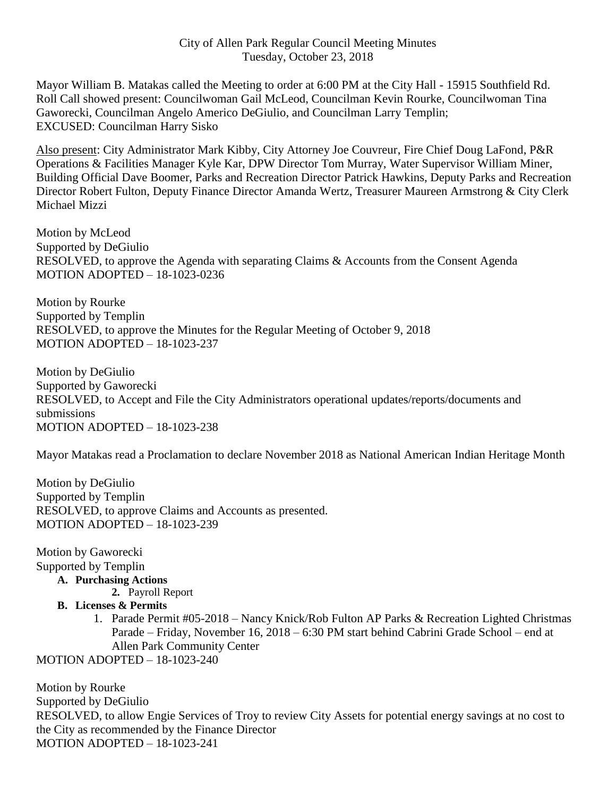Mayor William B. Matakas called the Meeting to order at 6:00 PM at the City Hall - 15915 Southfield Rd. Roll Call showed present: Councilwoman Gail McLeod, Councilman Kevin Rourke, Councilwoman Tina Gaworecki, Councilman Angelo Americo DeGiulio, and Councilman Larry Templin; EXCUSED: Councilman Harry Sisko

Also present: City Administrator Mark Kibby, City Attorney Joe Couvreur, Fire Chief Doug LaFond, P&R Operations & Facilities Manager Kyle Kar, DPW Director Tom Murray, Water Supervisor William Miner, Building Official Dave Boomer, Parks and Recreation Director Patrick Hawkins, Deputy Parks and Recreation Director Robert Fulton, Deputy Finance Director Amanda Wertz, Treasurer Maureen Armstrong & City Clerk Michael Mizzi

Motion by McLeod Supported by DeGiulio RESOLVED, to approve the Agenda with separating Claims & Accounts from the Consent Agenda MOTION ADOPTED – 18-1023-0236

Motion by Rourke Supported by Templin RESOLVED, to approve the Minutes for the Regular Meeting of October 9, 2018 MOTION ADOPTED – 18-1023-237

Motion by DeGiulio Supported by Gaworecki RESOLVED, to Accept and File the City Administrators operational updates/reports/documents and submissions MOTION ADOPTED – 18-1023-238

Mayor Matakas read a Proclamation to declare November 2018 as National American Indian Heritage Month

Motion by DeGiulio Supported by Templin RESOLVED, to approve Claims and Accounts as presented. MOTION ADOPTED – 18-1023-239

Motion by Gaworecki Supported by Templin

**A. Purchasing Actions**

- **2.** Payroll Report
- **B. Licenses & Permits**
	- 1. Parade Permit #05-2018 Nancy Knick/Rob Fulton AP Parks & Recreation Lighted Christmas Parade – Friday, November 16, 2018 – 6:30 PM start behind Cabrini Grade School – end at Allen Park Community Center

MOTION ADOPTED – 18-1023-240

Motion by Rourke Supported by DeGiulio RESOLVED, to allow Engie Services of Troy to review City Assets for potential energy savings at no cost to the City as recommended by the Finance Director MOTION ADOPTED – 18-1023-241